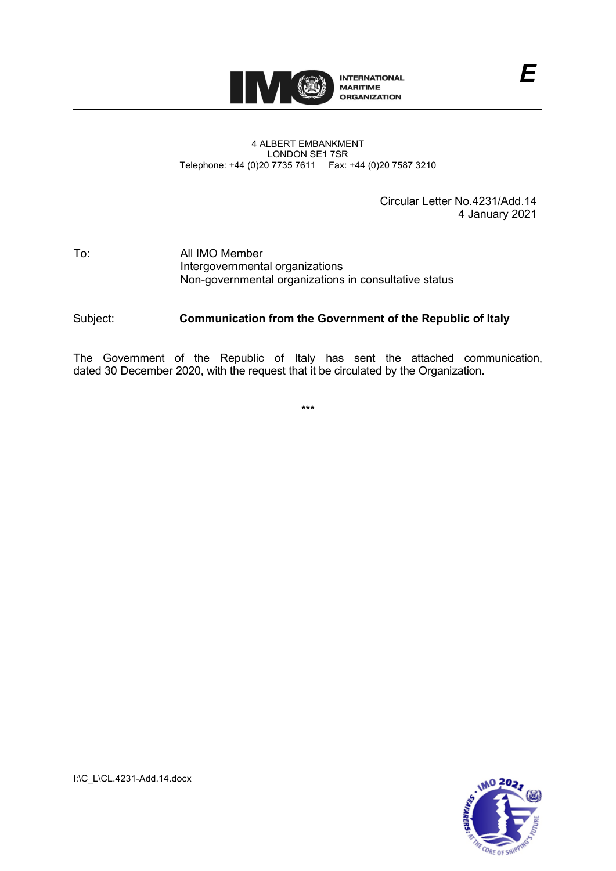

#### 4 ALBERT EMBANKMENT LONDON SE1 7SR Telephone: +44 (0)20 7735 7611 Fax: +44 (0)20 7587 3210

Circular Letter No.4231/Add.14 4 January 2021

*E*

#### To: All IMO Member Intergovernmental organizations Non-governmental organizations in consultative status

## Subject: **Communication from the Government of the Republic of Italy**

The Government of the Republic of Italy has sent the attached communication, dated 30 December 2020, with the request that it be circulated by the Organization.

\*\*\*